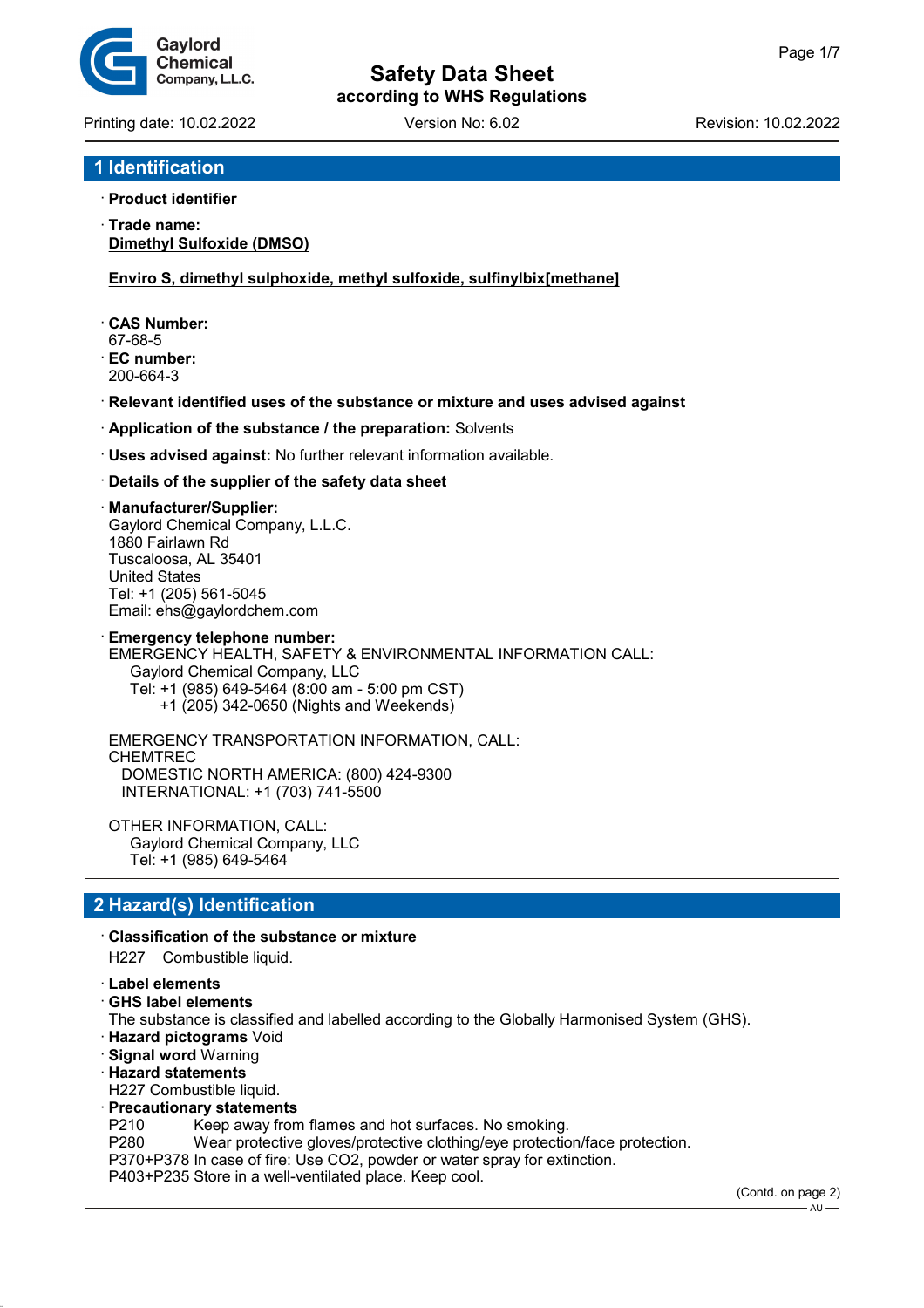

Printing date: 10.02.2022 Version No: 6.02 Revision: 10.02.2022

## **1 Identification**

### · **Product identifier**

· **Trade name: Dimethyl Sulfoxide (DMSO)**

**Enviro S, dimethyl sulphoxide, methyl sulfoxide, sulfinylbix[methane]**

- · **CAS Number:**
- 67-68-5
- · **EC number:** 200-664-3
- · **Relevant identified uses of the substance or mixture and uses advised against**
- · **Application of the substance / the preparation:** Solvents
- · **Uses advised against:** No further relevant information available.

### · **Details of the supplier of the safety data sheet**

#### · **Manufacturer/Supplier:**

Gaylord Chemical Company, L.L.C. 1880 Fairlawn Rd Tuscaloosa, AL 35401 United States Tel: +1 (205) 561-5045 Email: ehs@gaylordchem.com

**Emergency telephone number:** EMERGENCY HEALTH, SAFETY & ENVIRONMENTAL INFORMATION CALL: Gaylord Chemical Company, LLC Tel: +1 (985) 649-5464 (8:00 am - 5:00 pm CST) +1 (205) 342-0650 (Nights and Weekends)

EMERGENCY TRANSPORTATION INFORMATION, CALL: CHEMTREC DOMESTIC NORTH AMERICA: (800) 424-9300 INTERNATIONAL: +1 (703) 741-5500

OTHER INFORMATION, CALL: Gaylord Chemical Company, LLC Tel: +1 (985) 649-5464

## **2 Hazard(s) Identification**

### · **Classification of the substance or mixture**

H227 Combustible liquid.

- · **Label elements**
- · **GHS label elements**
- The substance is classified and labelled according to the Globally Harmonised System (GHS).
- · **Hazard pictograms** Void
- · **Signal word** Warning
- · **Hazard statements**
- H227 Combustible liquid.
- · **Precautionary statements**
- P210 Keep away from flames and hot surfaces. No smoking.
- P280 Wear protective gloves/protective clothing/eye protection/face protection.
- P370+P378 In case of fire: Use CO2, powder or water spray for extinction.

P403+P235 Store in a well-ventilated place. Keep cool.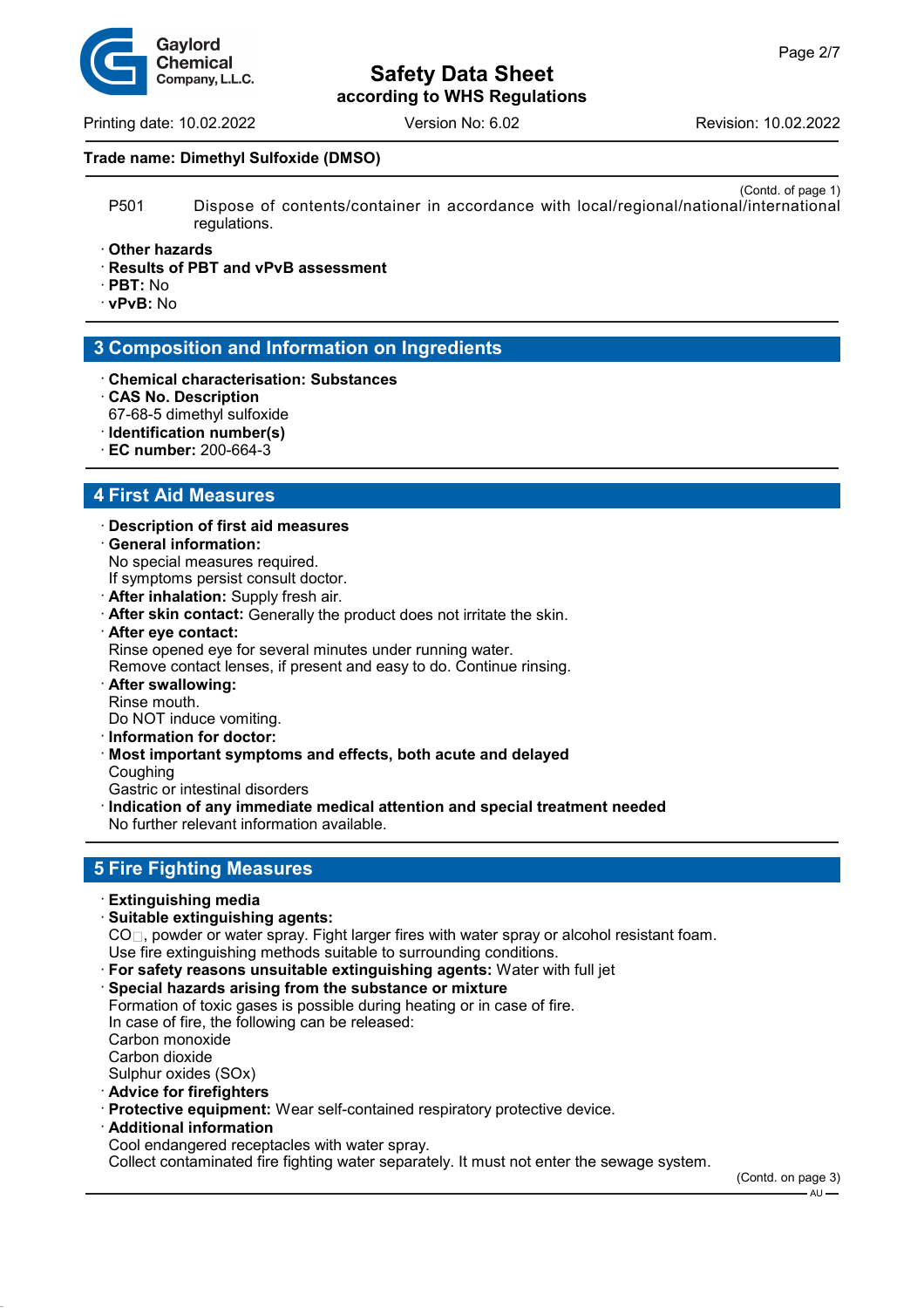Printing date: 10.02.2022 Version No: 6.02 Revision: 10.02.2022

#### **Trade name: Dimethyl Sulfoxide (DMSO)**

- (Contd. of page 1) P501 Dispose of contents/container in accordance with local/regional/national/international regulations.
- · **Other hazards**
- · **Results of PBT and vPvB assessment**
- · **PBT:** No
- · **vPvB:** No

## **3 Composition and Information on Ingredients**

- · **Chemical characterisation: Substances**
- · **CAS No. Description** 67-68-5 dimethyl sulfoxide
- · **Identification number(s)**
- · **EC number:** 200-664-3

## **4 First Aid Measures**

- · **Description of first aid measures** · **General information:**
- No special measures required.
- If symptoms persist consult doctor.
- · **After inhalation:** Supply fresh air.
- · **After skin contact:** Generally the product does not irritate the skin.
- · **After eye contact:**
- Rinse opened eye for several minutes under running water.

Remove contact lenses, if present and easy to do. Continue rinsing.

· **After swallowing:** Rinse mouth.

Do NOT induce vomiting.

- · **Information for doctor:**
- · **Most important symptoms and effects, both acute and delayed Coughing**
- Gastric or intestinal disorders
- · **Indication of any immediate medical attention and special treatment needed**

No further relevant information available.

## **5 Fire Fighting Measures**

- · **Extinguishing media**
- · **Suitable extinguishing agents:**

CO<sub>□</sub>, powder or water spray. Fight larger fires with water spray or alcohol resistant foam.

- Use fire extinguishing methods suitable to surrounding conditions.
- · **For safety reasons unsuitable extinguishing agents:** Water with full jet
- · **Special hazards arising from the substance or mixture**

Formation of toxic gases is possible during heating or in case of fire. In case of fire, the following can be released: Carbon monoxide Carbon dioxide Sulphur oxides (SOx) · **Advice for firefighters**

- · **Protective equipment:** Wear self-contained respiratory protective device.
- · **Additional information**
- Cool endangered receptacles with water spray.

Collect contaminated fire fighting water separately. It must not enter the sewage system.

(Contd. on page 3)  $-AU -$ 

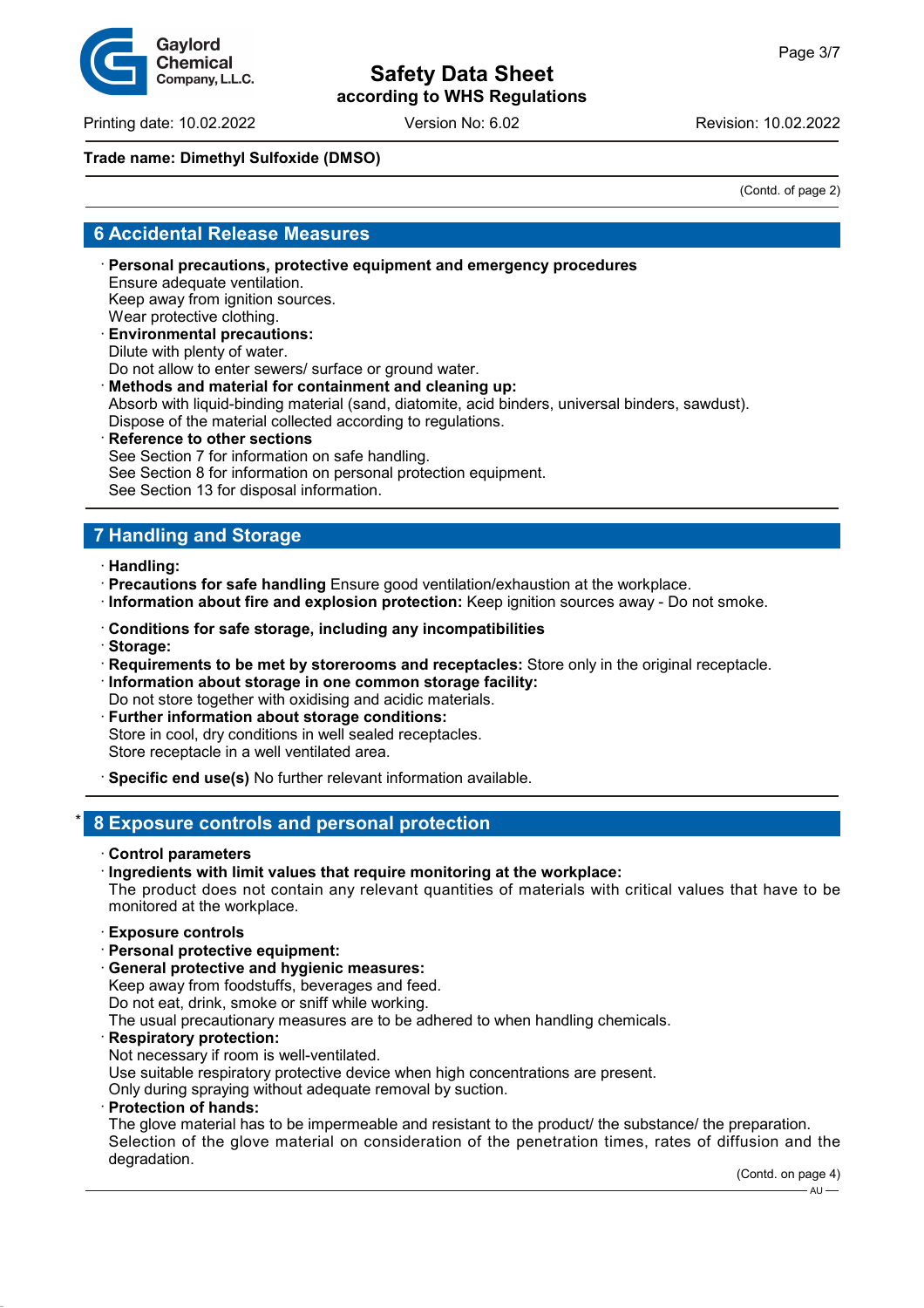Printing date: 10.02.2022 Version No: 6.02 Revision: 10.02.2022

### **Trade name: Dimethyl Sulfoxide (DMSO)**

(Contd. of page 2)

## **6 Accidental Release Measures**

- · **Personal precautions, protective equipment and emergency procedures** Ensure adequate ventilation. Keep away from ignition sources. Wear protective clothing. · **Environmental precautions:**
- Dilute with plenty of water.

Do not allow to enter sewers/ surface or ground water.

· **Methods and material for containment and cleaning up:** Absorb with liquid-binding material (sand, diatomite, acid binders, universal binders, sawdust). Dispose of the material collected according to regulations.

**Reference to other sections** See Section 7 for information on safe handling. See Section 8 for information on personal protection equipment. See Section 13 for disposal information.

# **7 Handling and Storage**

- · **Handling:**
- · **Precautions for safe handling** Ensure good ventilation/exhaustion at the workplace.
- · **Information about fire and explosion protection:** Keep ignition sources away Do not smoke.
- · **Conditions for safe storage, including any incompatibilities**
- · **Storage:**
- · **Requirements to be met by storerooms and receptacles:** Store only in the original receptacle.
- · **Information about storage in one common storage facility:**
- Do not store together with oxidising and acidic materials.
- **Further information about storage conditions:** Store in cool, dry conditions in well sealed receptacles. Store receptacle in a well ventilated area.
- · **Specific end use(s)** No further relevant information available.

## \* **8 Exposure controls and personal protection**

· **Control parameters**

#### · **Ingredients with limit values that require monitoring at the workplace:**

The product does not contain any relevant quantities of materials with critical values that have to be monitored at the workplace.

- · **Exposure controls**
- · **Personal protective equipment:**
- · **General protective and hygienic measures:**

Keep away from foodstuffs, beverages and feed.

Do not eat, drink, smoke or sniff while working.

The usual precautionary measures are to be adhered to when handling chemicals.

- · **Respiratory protection:**
- Not necessary if room is well-ventilated.

Use suitable respiratory protective device when high concentrations are present.

- Only during spraying without adequate removal by suction.
- · **Protection of hands:**

The glove material has to be impermeable and resistant to the product/ the substance/ the preparation. Selection of the glove material on consideration of the penetration times, rates of diffusion and the degradation.

(Contd. on page 4)  $-$  AU  $-$ 

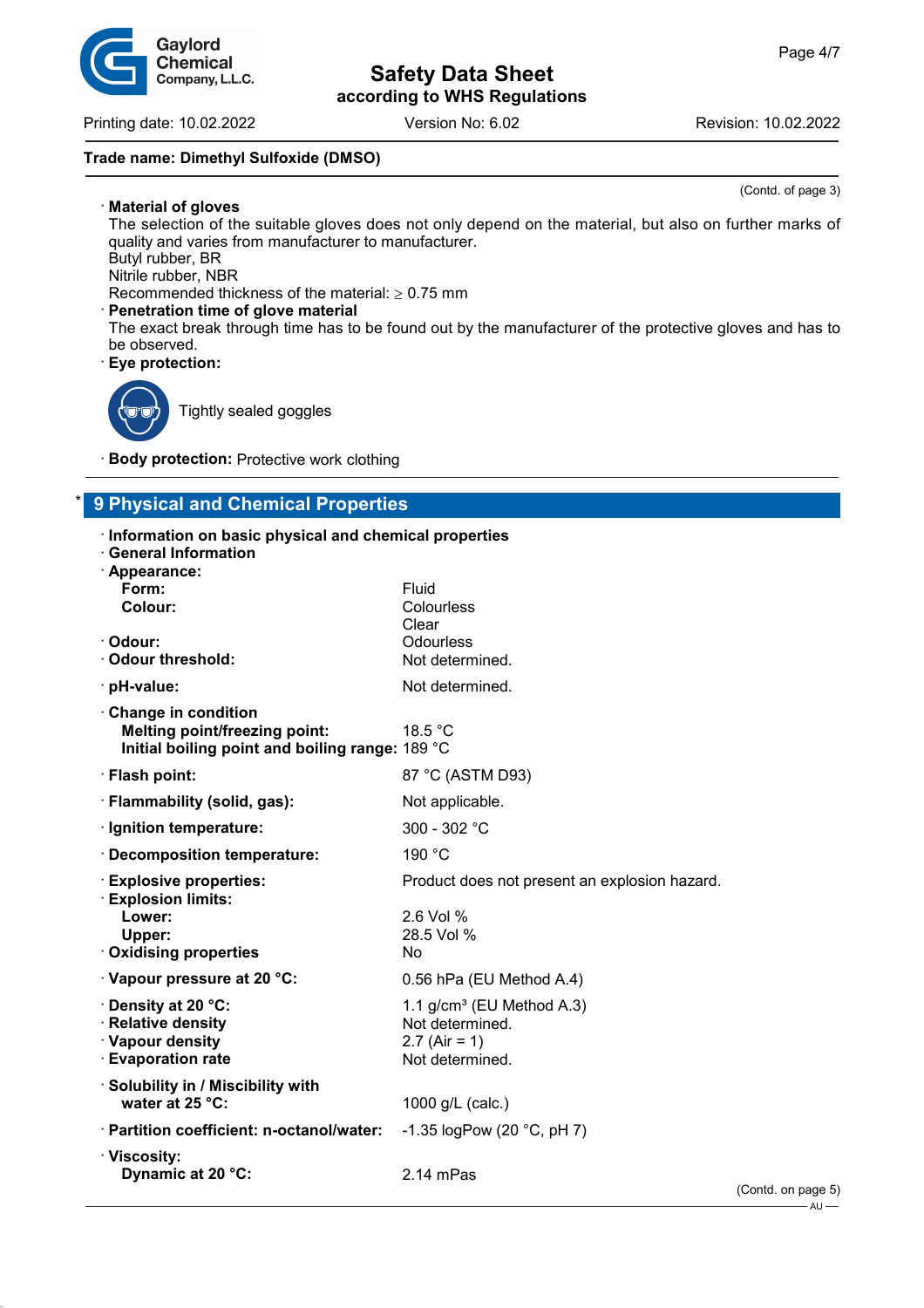Printing date: 10.02.2022 Version No: 6.02 Revision: 10.02.2022

### **Trade name: Dimethyl Sulfoxide (DMSO)**

(Contd. of page 3)

· **Material of gloves** The selection of the suitable gloves does not only depend on the material, but also on further marks of quality and varies from manufacturer to manufacturer. Butyl rubber, BR

Nitrile rubber, NBR

Gaylord **Chemical** Company, L.L.C.

Recommended thickness of the material:  $\geq 0.75$  mm

**Penetration time of glove material** 

The exact break through time has to be found out by the manufacturer of the protective gloves and has to be observed.

· **Eye protection:**



Tightly sealed goggles

· **Body protection:** Protective work clothing

# \* **9 Physical and Chemical Properties**

| Information on basic physical and chemical properties<br><b>General Information</b><br>· Appearance:           |                                                                                       |      |
|----------------------------------------------------------------------------------------------------------------|---------------------------------------------------------------------------------------|------|
| Form:<br>Colour:                                                                                               | Fluid<br>Colourless<br>Clear                                                          |      |
| · Odour:<br>Odour threshold:                                                                                   | Odourless<br>Not determined.                                                          |      |
| · pH-value:                                                                                                    | Not determined.                                                                       |      |
| Change in condition<br><b>Melting point/freezing point:</b><br>Initial boiling point and boiling range: 189 °C | 18.5 °C                                                                               |      |
| · Flash point:                                                                                                 | 87 °C (ASTM D93)                                                                      |      |
| · Flammability (solid, gas):                                                                                   | Not applicable.                                                                       |      |
| · Ignition temperature:                                                                                        | 300 - 302 $^{\circ}$ C                                                                |      |
| · Decomposition temperature:                                                                                   | 190 °C                                                                                |      |
| <b>Explosive properties:</b><br><b>Explosion limits:</b><br>Lower:                                             | Product does not present an explosion hazard.<br>2.6 Vol %                            |      |
| Upper:<br>· Oxidising properties                                                                               | 28.5 Vol %<br><b>No</b>                                                               |      |
| · Vapour pressure at 20 °C:                                                                                    | 0.56 hPa (EU Method A.4)                                                              |      |
| · Density at 20 °C:<br>· Relative density<br>· Vapour density<br><b>Evaporation rate</b>                       | 1.1 $g/cm^3$ (EU Method A.3)<br>Not determined.<br>$2.7$ (Air = 1)<br>Not determined. |      |
| · Solubility in / Miscibility with<br>water at 25 °C:                                                          | 1000 g/L (calc.)                                                                      |      |
| · Partition coefficient: n-octanol/water:                                                                      | -1.35 $logPow(20 °C, pH 7)$                                                           |      |
| $\cdot$ Viscosity:<br>Dynamic at 20 °C:                                                                        | $2.14$ mPas                                                                           | (Con |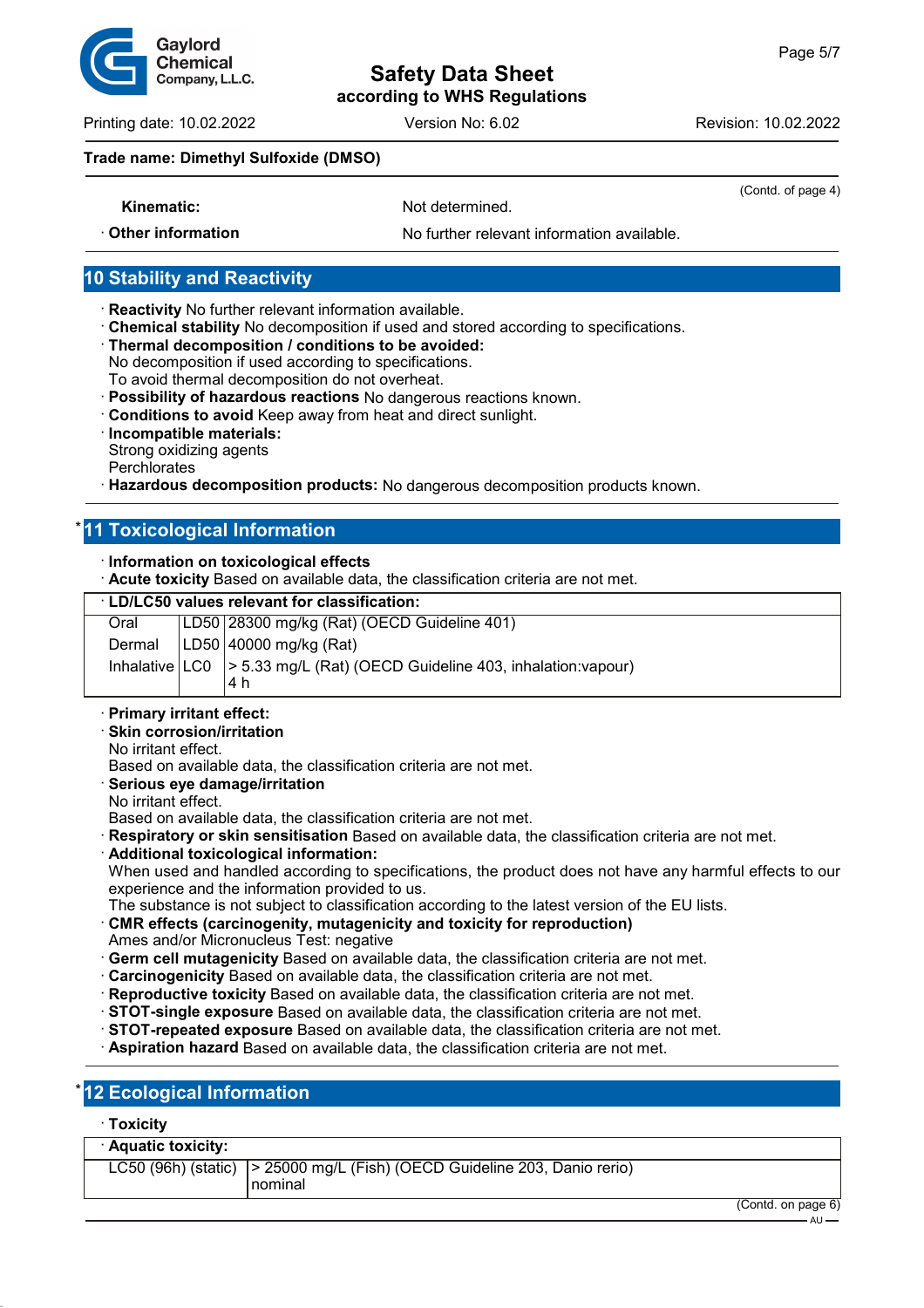

Printing date: 10.02.2022 Version No: 6.02 Revision: 10.02.2022

### **Trade name: Dimethyl Sulfoxide (DMSO)**

**Kinematic:** Not determined.

(Contd. of page 4)

· **Other information** No further relevant information available.

## **10 Stability and Reactivity**

- · **Reactivity** No further relevant information available.
- · **Chemical stability** No decomposition if used and stored according to specifications.
- · **Thermal decomposition / conditions to be avoided:**
- No decomposition if used according to specifications.
- To avoid thermal decomposition do not overheat.
- · **Possibility of hazardous reactions** No dangerous reactions known.
- · **Conditions to avoid** Keep away from heat and direct sunlight.
- · **Incompatible materials:**
- Strong oxidizing agents
- **Perchlorates**
- · **Hazardous decomposition products:** No dangerous decomposition products known.

## **11 Toxicological Information**

### · **Information on toxicological effects**

· **Acute toxicity** Based on available data, the classification criteria are not met.

### · **LD/LC50 values relevant for classification:**

| Oral | LD50 28300 mg/kg (Rat) (OECD Guideline 401)                                   |
|------|-------------------------------------------------------------------------------|
|      | Dermal $ LD50 $ 40000 mg/kg (Rat)                                             |
|      | Inhalative   LC0   > 5.33 mg/L (Rat) (OECD Guideline 403, inhalation: vapour) |
|      | 14 h                                                                          |

- · **Primary irritant effect:**
- · **Skin corrosion/irritation**
- No irritant effect.
- Based on available data, the classification criteria are not met.
- · **Serious eye damage/irritation**
- No irritant effect.
- Based on available data, the classification criteria are not met.
- · **Respiratory or skin sensitisation** Based on available data, the classification criteria are not met.
- · **Additional toxicological information:** When used and handled according to specifications, the product does not have any harmful effects to our experience and the information provided to us.
- The substance is not subject to classification according to the latest version of the EU lists.
- · **CMR effects (carcinogenity, mutagenicity and toxicity for reproduction)** Ames and/or Micronucleus Test: negative
- · **Germ cell mutagenicity** Based on available data, the classification criteria are not met.
- · **Carcinogenicity** Based on available data, the classification criteria are not met.
- · **Reproductive toxicity** Based on available data, the classification criteria are not met.
- · **STOT-single exposure** Based on available data, the classification criteria are not met.
- · **STOT-repeated exposure** Based on available data, the classification criteria are not met.
- · **Aspiration hazard** Based on available data, the classification criteria are not met.

## **12 Ecological Information**

### · **Toxicity**

| · Aquatic toxicity:                                                               |   |  |
|-----------------------------------------------------------------------------------|---|--|
| LC50 (96h) (static) $\vert$ > 25000 mg/L (Fish) (OECD Guideline 203, Danio rerio) |   |  |
| l nominal                                                                         | . |  |

 $-$  AU -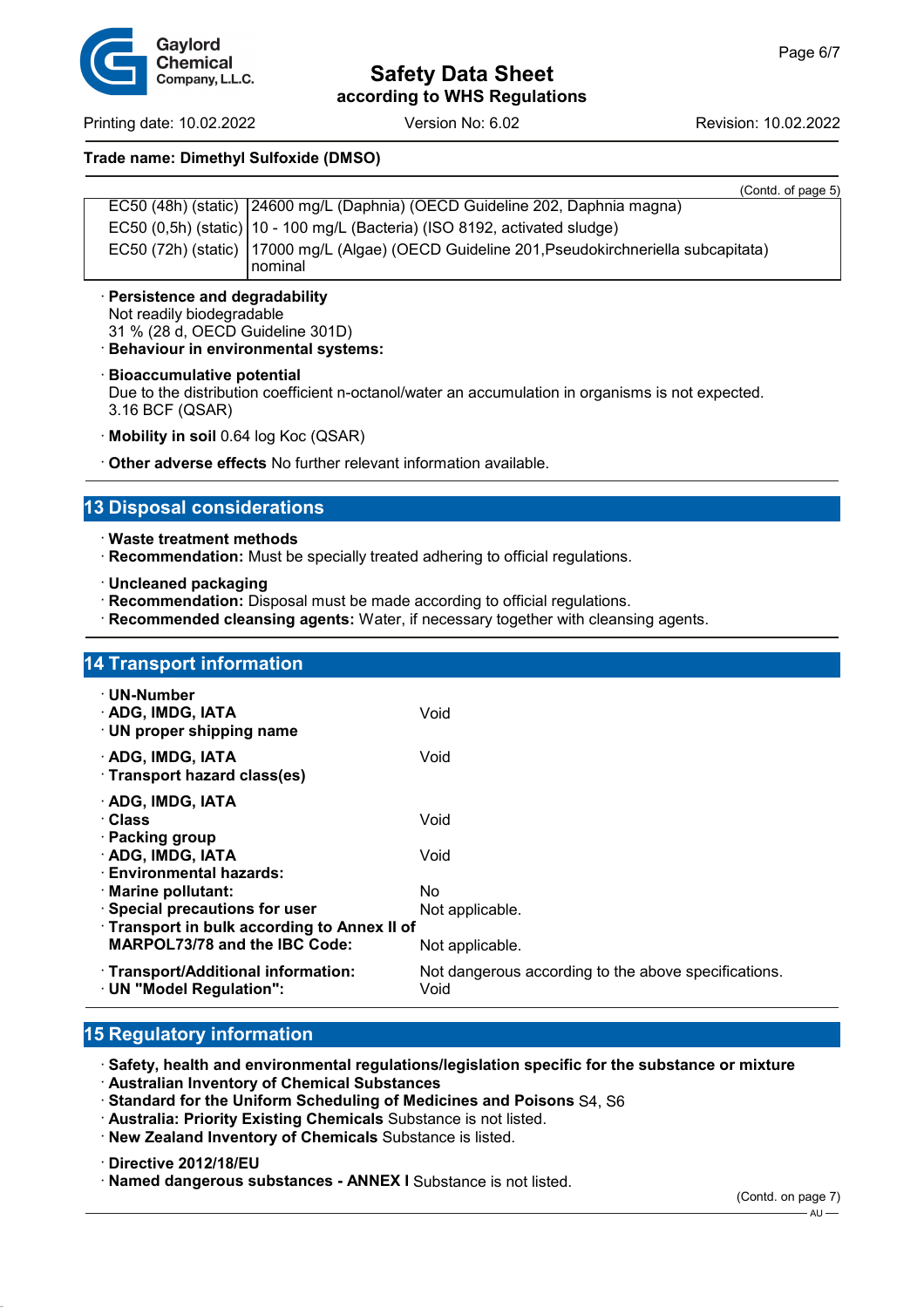Printing date: 10.02.2022 Version No: 6.02 Revision: 10.02.2022

### **Trade name: Dimethyl Sulfoxide (DMSO)**

| , סטוווע. טו payc                                                                              |
|------------------------------------------------------------------------------------------------|
| EC50 (48h) (static) 24600 mg/L (Daphnia) (OECD Guideline 202, Daphnia magna)                   |
| EC50 (0,5h) (static)   10 - 100 mg/L (Bacteria) (ISO 8192, activated sludge)                   |
| EC50 (72h) (static)   17000 mg/L (Algae) (OECD Guideline 201, Pseudokirchneriella subcapitata) |
| <u>nominal</u>                                                                                 |

- · **Persistence and degradability** Not readily biodegradable 31 % (28 d, OECD Guideline 301D)
- · **Behaviour in environmental systems:**
- · **Bioaccumulative potential**

Due to the distribution coefficient n-octanol/water an accumulation in organisms is not expected. 3.16 BCF (QSAR)

- · **Mobility in soil** 0.64 log Koc (QSAR)
- · **Other adverse effects** No further relevant information available.

## **13 Disposal considerations**

- · **Waste treatment methods**
- · **Recommendation:** Must be specially treated adhering to official regulations.
- · **Uncleaned packaging**
- · **Recommendation:** Disposal must be made according to official regulations.
- · **Recommended cleansing agents:** Water, if necessary together with cleansing agents.

| <b>14 Transport information</b>                                                                                   |                                                                         |  |  |  |
|-------------------------------------------------------------------------------------------------------------------|-------------------------------------------------------------------------|--|--|--|
| $\cdot$ UN-Number<br>· ADG, IMDG, IATA<br>$\cdot$ UN proper shipping name                                         | Void                                                                    |  |  |  |
| · ADG, IMDG, IATA<br>· Transport hazard class(es)                                                                 | Void                                                                    |  |  |  |
| · ADG, IMDG, IATA<br>· Class<br>$\cdot$ Packing group                                                             | Void                                                                    |  |  |  |
| · ADG, IMDG, IATA<br>· Environmental hazards:                                                                     | Void<br>No.                                                             |  |  |  |
| $\cdot$ Marine pollutant:<br>$\cdot$ Special precautions for user<br>· Transport in bulk according to Annex II of | Not applicable.                                                         |  |  |  |
| <b>MARPOL73/78 and the IBC Code:</b><br>· Transport/Additional information:                                       | Not applicable.<br>Not dangerous according to the above specifications. |  |  |  |
| · UN "Model Regulation":                                                                                          | Void                                                                    |  |  |  |

## **15 Regulatory information**

· **Safety, health and environmental regulations/legislation specific for the substance or mixture** · **Australian Inventory of Chemical Substances**

- · **Standard for the Uniform Scheduling of Medicines and Poisons** S4, S6
- · **Australia: Priority Existing Chemicals** Substance is not listed.
- · **New Zealand Inventory of Chemicals** Substance is listed.

· **Directive 2012/18/EU**

· **Named dangerous substances - ANNEX I** Substance is not listed.



 $(Contd of page 5)$